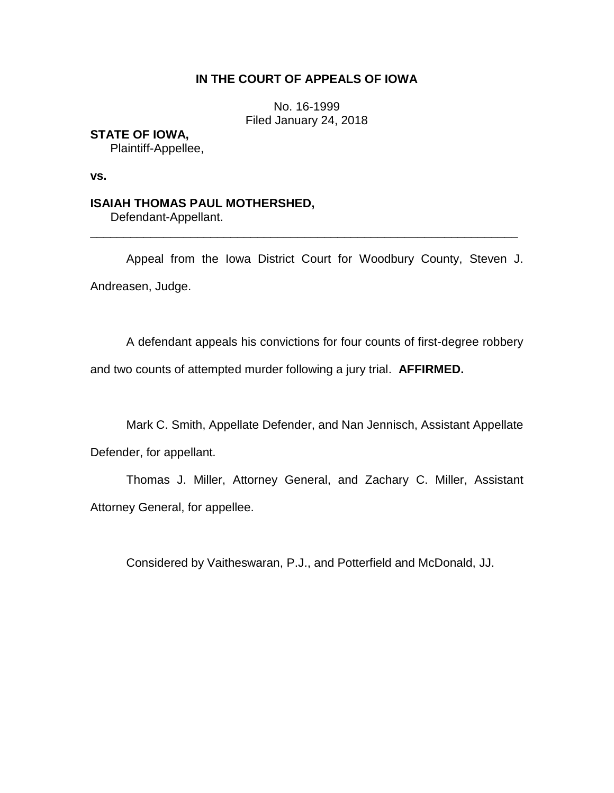# **IN THE COURT OF APPEALS OF IOWA**

No. 16-1999 Filed January 24, 2018

# **STATE OF IOWA,**

Plaintiff-Appellee,

**vs.**

## **ISAIAH THOMAS PAUL MOTHERSHED,**

Defendant-Appellant.

Appeal from the Iowa District Court for Woodbury County, Steven J. Andreasen, Judge.

\_\_\_\_\_\_\_\_\_\_\_\_\_\_\_\_\_\_\_\_\_\_\_\_\_\_\_\_\_\_\_\_\_\_\_\_\_\_\_\_\_\_\_\_\_\_\_\_\_\_\_\_\_\_\_\_\_\_\_\_\_\_\_\_

A defendant appeals his convictions for four counts of first-degree robbery

and two counts of attempted murder following a jury trial. **AFFIRMED.**

Mark C. Smith, Appellate Defender, and Nan Jennisch, Assistant Appellate

Defender, for appellant.

Thomas J. Miller, Attorney General, and Zachary C. Miller, Assistant Attorney General, for appellee.

Considered by Vaitheswaran, P.J., and Potterfield and McDonald, JJ.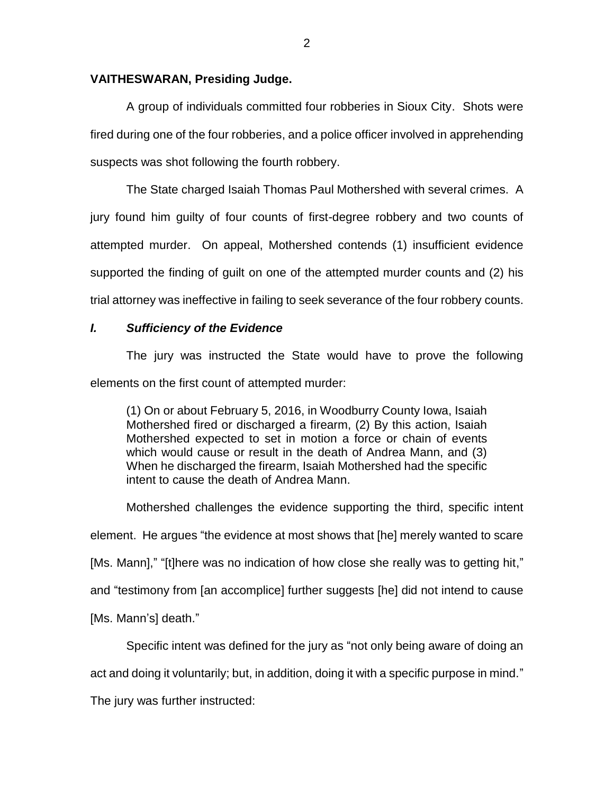## **VAITHESWARAN, Presiding Judge.**

A group of individuals committed four robberies in Sioux City. Shots were fired during one of the four robberies, and a police officer involved in apprehending suspects was shot following the fourth robbery.

The State charged Isaiah Thomas Paul Mothershed with several crimes. A jury found him guilty of four counts of first-degree robbery and two counts of attempted murder. On appeal, Mothershed contends (1) insufficient evidence supported the finding of guilt on one of the attempted murder counts and (2) his trial attorney was ineffective in failing to seek severance of the four robbery counts.

## *I. Sufficiency of the Evidence*

The jury was instructed the State would have to prove the following elements on the first count of attempted murder:

(1) On or about February 5, 2016, in Woodburry County Iowa, Isaiah Mothershed fired or discharged a firearm, (2) By this action, Isaiah Mothershed expected to set in motion a force or chain of events which would cause or result in the death of Andrea Mann, and (3) When he discharged the firearm, Isaiah Mothershed had the specific intent to cause the death of Andrea Mann.

Mothershed challenges the evidence supporting the third, specific intent element. He argues "the evidence at most shows that [he] merely wanted to scare [Ms. Mann]," "[t]here was no indication of how close she really was to getting hit," and "testimony from [an accomplice] further suggests [he] did not intend to cause [Ms. Mann's] death."

Specific intent was defined for the jury as "not only being aware of doing an

act and doing it voluntarily; but, in addition, doing it with a specific purpose in mind."

The jury was further instructed: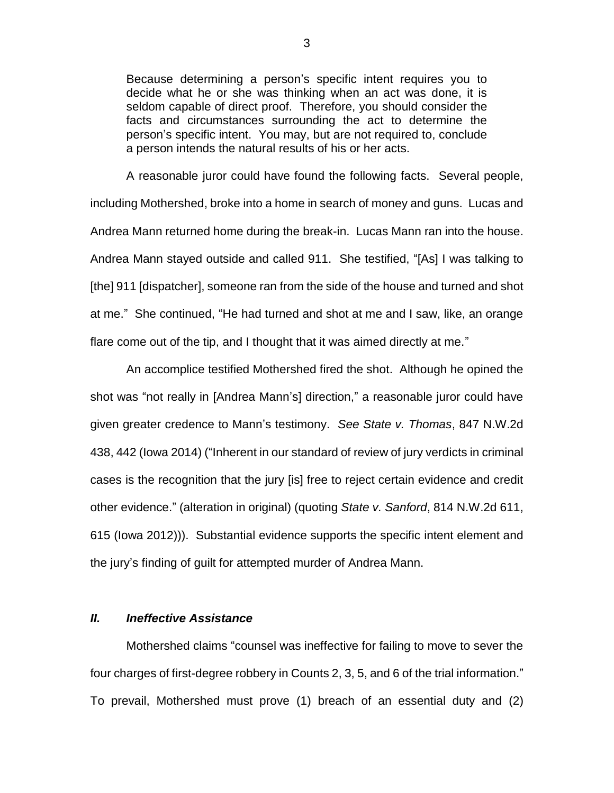Because determining a person's specific intent requires you to decide what he or she was thinking when an act was done, it is seldom capable of direct proof. Therefore, you should consider the facts and circumstances surrounding the act to determine the person's specific intent. You may, but are not required to, conclude a person intends the natural results of his or her acts.

A reasonable juror could have found the following facts. Several people, including Mothershed, broke into a home in search of money and guns. Lucas and Andrea Mann returned home during the break-in. Lucas Mann ran into the house. Andrea Mann stayed outside and called 911. She testified, "[As] I was talking to [the] 911 [dispatcher], someone ran from the side of the house and turned and shot at me." She continued, "He had turned and shot at me and I saw, like, an orange flare come out of the tip, and I thought that it was aimed directly at me."

An accomplice testified Mothershed fired the shot. Although he opined the shot was "not really in [Andrea Mann's] direction," a reasonable juror could have given greater credence to Mann's testimony. *See State v. Thomas*, 847 N.W.2d 438, 442 (Iowa 2014) ("Inherent in our standard of review of jury verdicts in criminal cases is the recognition that the jury [is] free to reject certain evidence and credit other evidence." (alteration in original) (quoting *State v. Sanford*, 814 N.W.2d 611, 615 (Iowa 2012))). Substantial evidence supports the specific intent element and the jury's finding of guilt for attempted murder of Andrea Mann.

# *II. Ineffective Assistance*

Mothershed claims "counsel was ineffective for failing to move to sever the four charges of first-degree robbery in Counts 2, 3, 5, and 6 of the trial information." To prevail, Mothershed must prove (1) breach of an essential duty and (2)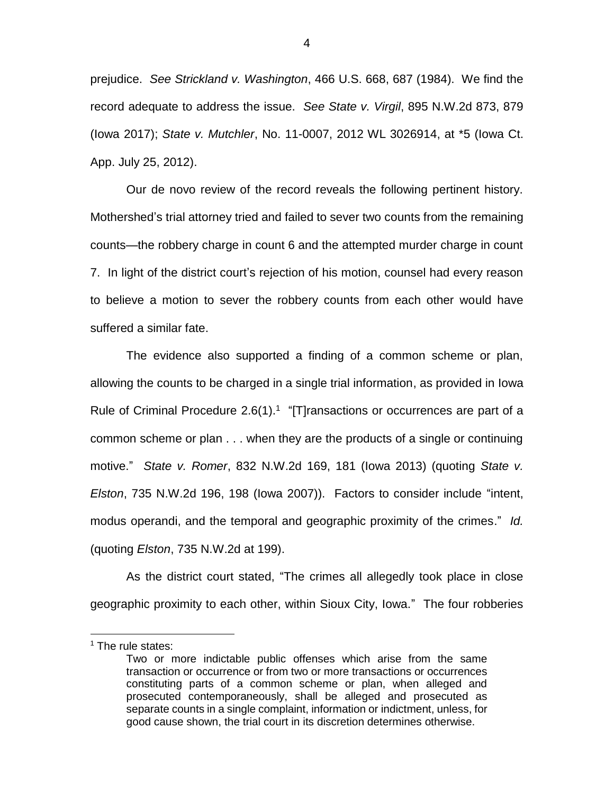prejudice. *See Strickland v. Washington*, 466 U.S. 668, 687 (1984). We find the record adequate to address the issue. *See State v. Virgil*, 895 N.W.2d 873, 879 (Iowa 2017); *State v. Mutchler*, No. 11-0007, 2012 WL 3026914, at \*5 (Iowa Ct. App. July 25, 2012).

Our de novo review of the record reveals the following pertinent history. Mothershed's trial attorney tried and failed to sever two counts from the remaining counts—the robbery charge in count 6 and the attempted murder charge in count 7. In light of the district court's rejection of his motion, counsel had every reason to believe a motion to sever the robbery counts from each other would have suffered a similar fate.

The evidence also supported a finding of a common scheme or plan, allowing the counts to be charged in a single trial information, as provided in Iowa Rule of Criminal Procedure  $2.6(1).1$  "[T] ransactions or occurrences are part of a common scheme or plan . . . when they are the products of a single or continuing motive." *State v. Romer*, 832 N.W.2d 169, 181 (Iowa 2013) (quoting *State v. Elston*, 735 N.W.2d 196, 198 (Iowa 2007)). Factors to consider include "intent, modus operandi, and the temporal and geographic proximity of the crimes." *Id.* (quoting *Elston*, 735 N.W.2d at 199).

As the district court stated, "The crimes all allegedly took place in close geographic proximity to each other, within Sioux City, Iowa." The four robberies

 $\overline{a}$ 

<sup>&</sup>lt;sup>1</sup> The rule states:

Two or more indictable public offenses which arise from the same transaction or occurrence or from two or more transactions or occurrences constituting parts of a common scheme or plan, when alleged and prosecuted contemporaneously, shall be alleged and prosecuted as separate counts in a single complaint, information or indictment, unless, for good cause shown, the trial court in its discretion determines otherwise.